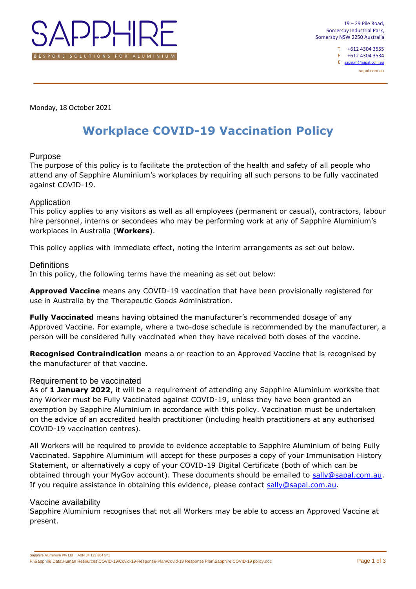

T +612 4304 3555 F +612 4304 3534 E sapso

sapal.com.au

Monday, 18 October 2021

# **Workplace COVID-19 Vaccination Policy**

## Purpose

The purpose of this policy is to facilitate the protection of the health and safety of all people who attend any of Sapphire Aluminium's workplaces by requiring all such persons to be fully vaccinated against COVID-19.

# Application

This policy applies to any visitors as well as all employees (permanent or casual), contractors, labour hire personnel, interns or secondees who may be performing work at any of Sapphire Aluminium's workplaces in Australia (**Workers**).

This policy applies with immediate effect, noting the interim arrangements as set out below.

# **Definitions**

In this policy, the following terms have the meaning as set out below:

**Approved Vaccine** means any COVID-19 vaccination that have been provisionally registered for use in Australia by the Therapeutic Goods Administration.

**Fully Vaccinated** means having obtained the manufacturer's recommended dosage of any Approved Vaccine. For example, where a two-dose schedule is recommended by the manufacturer, a person will be considered fully vaccinated when they have received both doses of the vaccine.

**Recognised Contraindication** means a or reaction to an Approved Vaccine that is recognised by the manufacturer of that vaccine.

# Requirement to be vaccinated

As of **1 January 2022**, it will be a requirement of attending any Sapphire Aluminium worksite that any Worker must be Fully Vaccinated against COVID-19, unless they have been granted an exemption by Sapphire Aluminium in accordance with this policy. Vaccination must be undertaken on the advice of an accredited health practitioner (including health practitioners at any authorised COVID-19 vaccination centres).

All Workers will be required to provide to evidence acceptable to Sapphire Aluminium of being Fully Vaccinated. Sapphire Aluminium will accept for these purposes a copy of your Immunisation History Statement, or alternatively a copy of your COVID-19 Digital Certificate (both of which can be obtained through your MyGov account). These documents should be emailed to [sally@sapal.com.au.](mailto:sally@sapal.com.au) If you require assistance in obtaining this evidence, please contact [sally@sapal.com.au.](mailto:sally@sapal.com.au)

## Vaccine availability

Sapphire Aluminium recognises that not all Workers may be able to access an Approved Vaccine at present.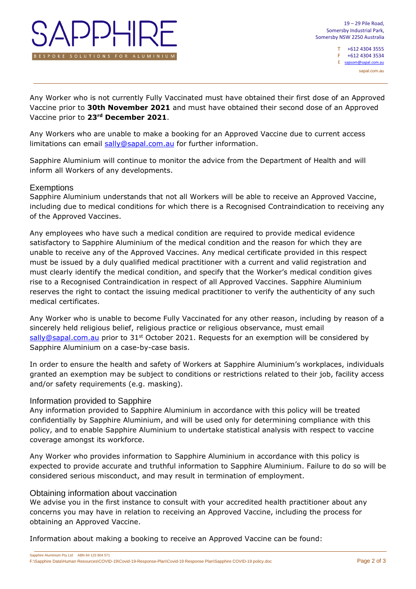

T +612 4304 3555 F +612 4304 3534  $E$  sapsom@sapal.com sapal.com.au

Any Worker who is not currently Fully Vaccinated must have obtained their first dose of an Approved Vaccine prior to **30th November 2021** and must have obtained their second dose of an Approved Vaccine prior to **23rd December 2021**.

Any Workers who are unable to make a booking for an Approved Vaccine due to current access limitations can email [sally@sapal.com.au](mailto:sally@sapal.com.au) for further information.

Sapphire Aluminium will continue to monitor the advice from the Department of Health and will inform all Workers of any developments.

#### **Exemptions**

Sapphire Aluminium understands that not all Workers will be able to receive an Approved Vaccine, including due to medical conditions for which there is a Recognised Contraindication to receiving any of the Approved Vaccines.

Any employees who have such a medical condition are required to provide medical evidence satisfactory to Sapphire Aluminium of the medical condition and the reason for which they are unable to receive any of the Approved Vaccines. Any medical certificate provided in this respect must be issued by a duly qualified medical practitioner with a current and valid registration and must clearly identify the medical condition, and specify that the Worker's medical condition gives rise to a Recognised Contraindication in respect of all Approved Vaccines. Sapphire Aluminium reserves the right to contact the issuing medical practitioner to verify the authenticity of any such medical certificates.

Any Worker who is unable to become Fully Vaccinated for any other reason, including by reason of a sincerely held religious belief, religious practice or religious observance, must email [sally@sapal.com.au](mailto:sally@sapal.com.au) prior to 31st October 2021. Requests for an exemption will be considered by Sapphire Aluminium on a case-by-case basis.

In order to ensure the health and safety of Workers at Sapphire Aluminium's workplaces, individuals granted an exemption may be subject to conditions or restrictions related to their job, facility access and/or safety requirements (e.g. masking).

## Information provided to Sapphire

Any information provided to Sapphire Aluminium in accordance with this policy will be treated confidentially by Sapphire Aluminium, and will be used only for determining compliance with this policy, and to enable Sapphire Aluminium to undertake statistical analysis with respect to vaccine coverage amongst its workforce.

Any Worker who provides information to Sapphire Aluminium in accordance with this policy is expected to provide accurate and truthful information to Sapphire Aluminium. Failure to do so will be considered serious misconduct, and may result in termination of employment.

#### Obtaining information about vaccination

We advise you in the first instance to consult with your accredited health practitioner about any concerns you may have in relation to receiving an Approved Vaccine, including the process for obtaining an Approved Vaccine.

Information about making a booking to receive an Approved Vaccine can be found: